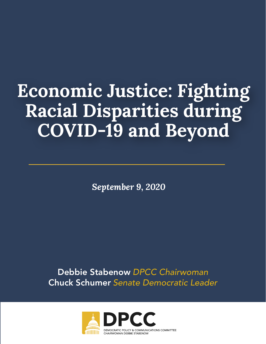# **Economic Justice: Fighting Racial Disparities during COVID-19 and Beyond**

*September 9, 2020*

Debbie Stabenow *DPCC Chairwoman* Chuck Schumer *Senate Democratic Leader*

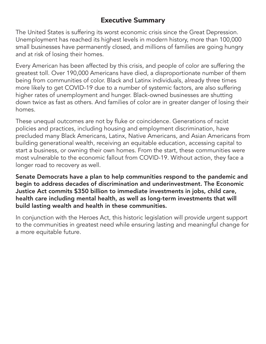# **Executive Summary**

The United States is suffering its worst economic crisis since the Great Depression. Unemployment has reached its highest levels in modern history, more than 100,000 small businesses have permanently closed, and millions of families are going hungry and at risk of losing their homes.

Every American has been affected by this crisis, and people of color are suffering the greatest toll. Over 190,000 Americans have died, a disproportionate number of them being from communities of color. Black and Latinx individuals, already three times more likely to get COVID-19 due to a number of systemic factors, are also suffering higher rates of unemployment and hunger. Black-owned businesses are shutting down twice as fast as others. And families of color are in greater danger of losing their homes.

These unequal outcomes are not by fluke or coincidence. Generations of racist policies and practices, including housing and employment discrimination, have precluded many Black Americans, Latinx, Native Americans, and Asian Americans from building generational wealth, receiving an equitable education, accessing capital to start a business, or owning their own homes. From the start, these communities were most vulnerable to the economic fallout from COVID-19. Without action, they face a longer road to recovery as well.

Senate Democrats have a plan to help communities respond to the pandemic and begin to address decades of discrimination and underinvestment. The Economic Justice Act commits \$350 billion to immediate investments in jobs, child care, health care including mental health, as well as long-term investments that will build lasting wealth and health in these communities.

In conjunction with the Heroes Act, this historic legislation will provide urgent support to the communities in greatest need while ensuring lasting and meaningful change for a more equitable future.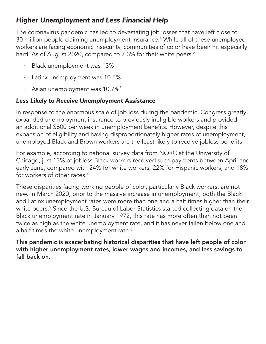# <span id="page-2-0"></span>*Higher Unemployment and Less Financial Help*

The coronavirus pandemic has led to devastating job losses that have left close to 30 million people claiming unemployment insurance.[1](#page-16-0) While all of these unemployed workers are facing economic insecurity, communities of color have been hit especially hard. As of August 2020, compared to 7.3% for their white peers:<sup>2</sup>

- Black unemployment was 13%
- Latinx unemployment was 10.5%
- Asian unemployment was 10.7%<sup>3</sup>

## *Less Likely to Receive Unemployment Assistance*

In response to the enormous scale of job loss during the pandemic, Congress greatly expanded unemployment insurance to previously ineligible workers and provided an additional \$600 per week in unemployment benefits. However, despite this expansion of eligibility and having disproportionately higher rates of unemployment, unemployed Black and Brown workers are the least likely to receive jobless benefits.

For example, according to national survey data from NORC at the University of Chicago, just 13% of jobless Black workers received such payments between April and early June, compared with 24% for white workers, 22% for Hispanic workers, and 18% for workers of other races.<sup>[4](#page-16-0)</sup>

These disparities facing working people of color, particularly Black workers, are not new. In March 2020, prior to the massive increase in unemployment, both the Black and Latinx unemployment rates were more than one and a half times higher than their white peers.<sup>5</sup> Since the U.S. Bureau of Labor Statistics started collecting data on the Black unemployment rate in January 1972, this rate has more often than not been twice as high as the white unemployment rate, and it has never fallen below one and a half times the white unemployment rate.<sup>6</sup>

This pandemic is exacerbating historical disparities that have left people of color with higher unemployment rates, lower wages and incomes, and less savings to fall back on.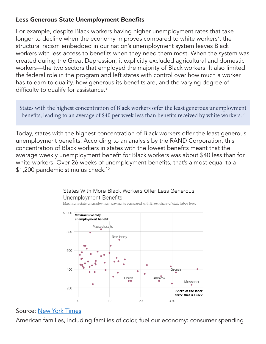### <span id="page-3-0"></span>*Less Generous State Unemployment Benefits*

For example, despite Black workers having higher unemployment rates that take longer to decline when the economy improves compared to white workers<sup>[7](#page-16-0)</sup>, the structural racism embedded in our nation's unemployment system leaves Black workers with less access to benefits when they need them most. When the system was created during the Great Depression, it explicitly excluded agricultural and domestic workers—the two sectors that employed the majority of Black workers. It also limited the federal role in the program and left states with control over how much a worker has to earn to qualify, how generous its benefits are, and the varying degree of difficulty to qualify for assistance.<sup>[8](#page-16-0)</sup>

States with the highest concentration of Black workers offer the least generous unemployment benefits, leading to an average of \$40 per week less than benefits received by white workers.<sup>[9](#page-16-0)</sup>

Today, states with the highest concentration of Black workers offer the least generous unemployment benefits. According to an analysis by the RAND Corporation, this concentration of Black workers in states with the lowest benefits meant that the average weekly unemployment benefit for Black workers was about \$40 less than for white workers. Over 26 weeks of unemployment benefits, that's almost equal to a \$1,200 pandemic stimulus check.<sup>10</sup>

#### States With More Black Workers Offer Less Generous Unemployment Benefits

Maximum state unemployment payments compared with Black share of state labor force



#### Source: [New York Times](https://www.nytimes.com/2020/08/07/upshot/unemployment-benefits-racial-disparity.html)

American families, including families of color, fuel our economy: consumer spending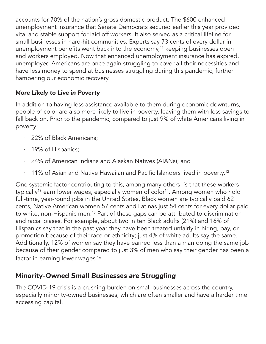<span id="page-4-0"></span>accounts for 70% of the nation's gross domestic product. The \$600 enhanced unemployment insurance that Senate Democrats secured earlier this year provided vital and stable support for laid off workers. It also served as a critical lifeline for small businesses in hard-hit communities. Experts say 73 cents of every dollar in unemployment benefits went back into the economy,<sup>11</sup> keeping businesses open and workers employed. Now that enhanced unemployment insurance has expired, unemployed Americans are once again struggling to cover all their necessities and have less money to spend at businesses struggling during this pandemic, further hampering our economic recovery.

## *More Likely to Live in Poverty*

In addition to having less assistance available to them during economic downturns, people of color are also more likely to live in poverty, leaving them with less savings to fall back on. Prior to the pandemic, compared to just 9% of white Americans living in poverty:

- · 22% of Black Americans;
- · 19% of Hispanics;
- 24% of American Indians and Alaskan Natives (AIANs); and
- $\cdot$  11% of Asian and Native Hawaiian and Pacific Islanders lived in poverty.<sup>[12](#page-16-0)</sup>

One systemic factor contributing to this, among many others, is that these workers typically<sup>13</sup> earn lower wages, especially women of color<sup>14</sup>. Among women who hold full-time, year-round jobs in the United States, Black women are typically paid 62 cents, Native American women 57 cents and Latinas just 54 cents for every dollar paid to white, non-Hispanic men[.15](#page-16-0) Part of these gaps can be attributed to discrimination and racial biases. For example, about two in ten Black adults (21%) and 16% of Hispanics say that in the past year they have been treated unfairly in hiring, pay, or promotion because of their race or ethnicity; just 4% of white adults say the same. Additionally, 12% of women say they have earned less than a man doing the same job because of their gender compared to just 3% of men who say their gender has been a factor in earning lower wages.<sup>[16](#page-16-0)</sup>

# *Minority-Owned Small Businesses are Struggling*

The COVID-19 crisis is a crushing burden on small businesses across the country, especially minority-owned businesses, which are often smaller and have a harder time accessing capital.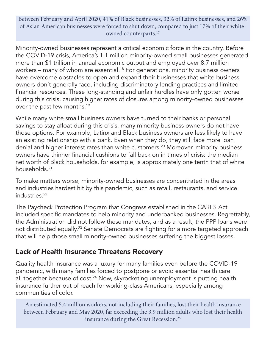<span id="page-5-0"></span>Between February and April 2020, 41% of Black businesses, 32% of Latinx businesses, and 26% of Asian American businesses were forced to shut down, compared to just 17% of their white-owned counterparts.<sup>[17](#page-16-0)</sup>

Minority-owned businesses represent a critical economic force in the country. Before the COVID-19 crisis, America's 1.1 million minority-owned small businesses generated more than \$1 trillion in annual economic output and employed over 8.7 million workers – many of whom are essential.<sup>18</sup> For generations, minority business owners have overcome obstacles to open and expand their businesses that white business owners don't generally face, including discriminatory lending practices and limited financial resources. These long-standing and unfair hurdles have only gotten worse during this crisis, causing higher rates of closures among minority-owned businesses over the past few months[.19](#page-16-0)

While many white small business owners have turned to their banks or personal savings to stay afloat during this crisis, many minority business owners do not have those options. For example, Latinx and Black business owners are less likely to have an existing relationship with a bank. Even when they do, they still face more loan denial and higher interest rates than white customers.<sup>20</sup> Moreover, minority business owners have thinner financial cushions to fall back on in times of crisis: the median net worth of Black households, for example, is approximately one tenth that of white households[.21](#page-16-0)

To make matters worse, minority-owned businesses are concentrated in the areas and industries hardest hit by this pandemic, such as retail, restaurants, and service  $industries<sup>22</sup>$  $industries<sup>22</sup>$  $industries<sup>22</sup>$ 

The Paycheck Protection Program that Congress established in the CARES Act included specific mandates to help minority and underbanked businesses. Regrettably, the Administration did not follow these mandates, and as a result, the PPP loans were not distributed equally.<sup>[23](#page-16-0)</sup> Senate Democrats are fighting for a more targeted approach that will help those small minority-owned businesses suffering the biggest losses.

## *Lack of Health Insurance Threatens Recovery*

Quality health insurance was a luxury for many families even before the COVID-19 pandemic, with many families forced to postpone or avoid essential health care all together because of cost.<sup>24</sup> Now, skyrocketing unemployment is putting health insurance further out of reach for working-class Americans, especially among communities of color.

An estimated 5.4 million workers, not including their families, lost their health insurance between February and May 2020, far exceeding the 3.9 million adults who lost their health insurance during the Great Recession.<sup>25</sup>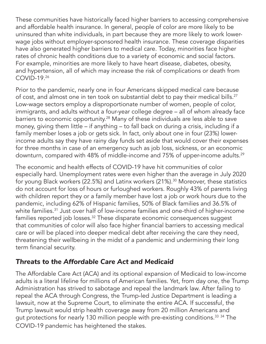<span id="page-6-0"></span>These communities have historically faced higher barriers to accessing comprehensive and affordable health insurance. In general, people of color are more likely to be uninsured than white individuals, in part because they are more likely to work lowerwage jobs without employer-sponsored health insurance. These coverage disparities have also generated higher barriers to medical care. Today, minorities face higher rates of chronic health conditions due to a variety of economic and social factors. For example, minorities are more likely to have heart disease, diabetes, obesity, and hypertension, all of which may increase the risk of complications or death from COVID-19[.26](#page-16-0)

Prior to the pandemic, nearly one in four Americans skipped medical care because of cost, and almost one in ten took on substantial debt to pay their medical bills.<sup>27</sup> Low-wage sectors employ a disproportionate number of women, people of color, immigrants, and adults without a four-year college degree – all of whom already face barriers to economic opportunity.<sup>28</sup> Many of these individuals are less able to save money, giving them little – if anything – to fall back on during a crisis, including if a family member loses a job or gets sick. In fact, only about one in four (23%) lowerincome adults say they have rainy day funds set aside that would cover their expenses for three months in case of an emergency such as job loss, sickness, or an economic downturn, compared with 48% of middle-income and 75% of upper-income adults.[29](#page-16-0)

The economic and health effects of COVID-19 have hit communities of color especially hard. Unemployment rates were even higher than the average in July 2020 for young Black workers (22.5%) and Latinx workers (21%).<sup>30</sup> Moreover, these statistics do not account for loss of hours or furloughed workers. Roughly 43% of parents living with children report they or a family member have lost a job or work hours due to the pandemic, including 62% of Hispanic families, 50% of Black families and 36.5% of white families.<sup>31</sup> Just over half of low-income families and one-third of higher-income families reported job losses.<sup>[32](#page-16-0)</sup> These disparate economic consequences suggest that communities of color will also face higher financial barriers to accessing medical care or will be placed into deeper medical debt after receiving the care they need, threatening their wellbeing in the midst of a pandemic and undermining their long term financial security.

## *Threats to the Affordable Care Act and Medicaid*

The Affordable Care Act (ACA) and its optional expansion of Medicaid to low-income adults is a literal lifeline for millions of American families. Yet, from day one, the Trump Administration has strived to sabotage and repeal the landmark law. After failing to repeal the ACA through Congress, the Trump-led Justice Department is leading a lawsuit, now at the Supreme Court, to eliminate the entire ACA. If successful, the Trump lawsuit would strip health coverage away from 20 million Americans and gut protections for nearly 130 million people with pre-existing conditions.<sup>[33](#page-16-0)</sup> [34](#page-16-0) The COVID-19 pandemic has heightened the stakes.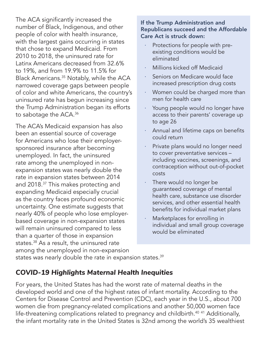<span id="page-7-0"></span>The ACA significantly increased the number of Black, Indigenous, and other people of color with health insurance, with the largest gains occurring in states that chose to expand Medicaid. From 2010 to 2018, the uninsured rate for Latinx Americans decreased from 32.6% to 19%, and from 19.9% to 11.5% for Black Americans.[35](#page-16-0) Notably, while the ACA narrowed coverage gaps between people of color and white Americans, the country's uninsured rate has begun increasing since the Trump Administration began its efforts to sabotage the ACA[.36](#page-17-0)

The ACA's Medicaid expansion has also been an essential source of coverage for Americans who lose their employersponsored insurance after becoming unemployed. In fact, the uninsured rate among the unemployed in nonexpansion states was nearly double the rate in expansion states between 2014 and 2018.[37](#page-17-0) This makes protecting and expanding Medicaid especially crucial as the country faces profound economic uncertainty. One estimate suggests that nearly 40% of people who lose employerbased coverage in non-expansion states will remain uninsured compared to less than a quarter of those in expansion states.<sup>38</sup> As a result, the uninsured rate among the unemployed in non-expansion

#### If the Trump Administration and Republicans succeed and the Affordable Care Act is struck down:

- · Protections for people with preexisting conditions would be eliminated
- Millions kicked off Medicaid
- Seniors on Medicare would face increased prescription drug costs
- Women could be charged more than men for health care
- Young people would no longer have access to their parents' coverage up to age 26
- · Annual and lifetime caps on benefits could return
- Private plans would no longer need to cover preventative services – including vaccines, screenings, and contraception without out-of-pocket costs
- There would no longer be guaranteed coverage of mental health care, substance use disorder services, and other essential health benefits for individual market plans
- Marketplaces for enrolling in individual and small group coverage would be eliminated

states was nearly double the rate in expansion states.<sup>39</sup>

# *COVID-19 Highlights Maternal Health Inequities*

For years, the United States has had the worst rate of maternal deaths in the developed world and one of the highest rates of infant mortality. According to the Centers for Disease Control and Prevention (CDC), each year in the U.S., about 700 women die from pregnancy-related complications and another 50,000 women face life-threatening complications related to pregnancy and childbirth.<sup>40 [41](#page-17-0)</sup> Additionally, the infant mortality rate in the United States is 32nd among the world's 35 wealthiest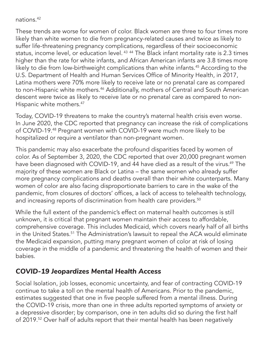#### <span id="page-8-0"></span>nations.[42](#page-17-0)

These trends are worse for women of color. Black women are three to four times more likely than white women to die from pregnancy-related causes and twice as likely to suffer life-threatening pregnancy complications, regardless of their socioeconomic status, income level, or education level.<sup>[43](#page-17-0) 44</sup> The Black infant mortality rate is 2.3 times higher than the rate for white infants, and African American infants are 3.8 times more likely to die from low-birthweight complications than white infants.<sup>45</sup> According to the U.S. Department of Health and Human Services Office of Minority Health, in 2017, Latina mothers were 70% more likely to receive late or no prenatal care as compared to non-Hispanic white mothers.<sup>[46](#page-17-0)</sup> Additionally, mothers of Central and South American descent were twice as likely to receive late or no prenatal care as compared to non-Hispanic white mothers.<sup>[47](#page-17-0)</sup>

Today, COVID-19 threatens to make the country's maternal health crisis even worse. In June 2020, the CDC reported that pregnancy can increase the risk of complications of COVID-19.[48](#page-17-0) Pregnant women with COVID-19 were much more likely to be hospitalized or require a ventilator than non-pregnant women.

This pandemic may also exacerbate the profound disparities faced by women of color. As of September 3, 2020, the CDC reported that over 20,000 pregnant women have been diagnosed with COVID-19, and 44 have died as a result of the virus.<sup>49</sup> The majority of these women are Black or Latina – the same women who already suffer more pregnancy complications and deaths overall than their white counterparts. Many women of color are also facing disproportionate barriers to care in the wake of the pandemic, from closures of doctors' offices, a lack of access to telehealth technology, and increasing reports of discrimination from health care providers.<sup>50</sup>

While the full extent of the pandemic's effect on maternal health outcomes is still unknown, it is critical that pregnant women maintain their access to affordable, comprehensive coverage. This includes Medicaid, which covers nearly half of all births in the United States.<sup>51</sup> The Administration's lawsuit to repeal the ACA would eliminate the Medicaid expansion, putting many pregnant women of color at risk of losing coverage in the middle of a pandemic and threatening the health of women and their babies.

# *COVID-19 Jeopardizes Mental Health Access*

Social Isolation, job losses, economic uncertainty, and fear of contracting COVID-19 continue to take a toll on the mental health of Americans. Prior to the pandemic, estimates suggested that one in five people suffered from a mental illness. During the COVID-19 crisis, more than one in three adults reported symptoms of anxiety or a depressive disorder; by comparison, one in ten adults did so during the first half of 2019[.52](#page-17-0) Over half of adults report that their mental health has been negatively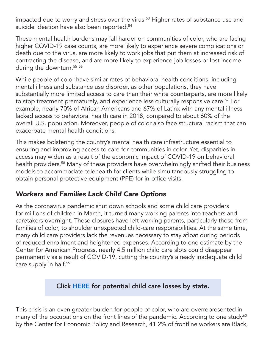<span id="page-9-0"></span>impacted due to worry and stress over the virus.<sup>53</sup> Higher rates of substance use and suicide ideation have also been reported.<sup>54</sup>

These mental health burdens may fall harder on communities of color, who are facing higher COVID-19 case counts, are more likely to experience severe complications or death due to the virus, are more likely to work jobs that put them at increased risk of contracting the disease, and are more likely to experience job losses or lost income during the downturn.<sup>55 [56](#page-17-0)</sup>

While people of color have similar rates of behavioral health conditions, including mental illness and substance use disorder, as other populations, they have substantially more limited access to care than their white counterparts, are more likely to stop treatment prematurely, and experience less culturally responsive care.<sup>57</sup> For example, nearly 70% of African Americans and 67% of Latinx with any mental illness lacked access to behavioral health care in 2018, compared to about 60% of the overall U.S. population. Moreover, people of color also face structural racism that can exacerbate mental health conditions.

This makes bolstering the country's mental health care infrastructure essential to ensuring and improving access to care for communities in color. Yet, disparities in access may widen as a result of the economic impact of COVID-19 on behavioral health providers.<sup>58</sup> Many of these providers have overwhelmingly shifted their business models to accommodate telehealth for clients while simultaneously struggling to obtain personal protective equipment (PPE) for in-office visits.

## *Workers and Families Lack Child Care Options*

As the coronavirus pandemic shut down schools and some child care providers for millions of children in March, it turned many working parents into teachers and caretakers overnight. These closures have left working parents, particularly those from families of color, to shoulder unexpected child-care responsibilities. At the same time, many child care providers lack the revenues necessary to stay afloat during periods of reduced enrollment and heightened expenses. According to one estimate by the Center for American Progress, nearly 4.5 million child care slots could disappear permanently as a result of COVID-19, cutting the country's already inadequate child care supply in half.<sup>59</sup>

## Click [HERE](https://www.americanprogress.org/issues/early-childhood/news/2020/04/24/483817/coronavirus-pandemic-lead-permanent-loss-nearly-4-5-million-child-care-slots/) for potential child care losses by state.

This crisis is an even greater burden for people of color, who are overrepresented in many of the occupations on the front lines of the pandemic. According to one study<sup>60</sup> by the Center for Economic Policy and Research, 41.2% of frontline workers are Black,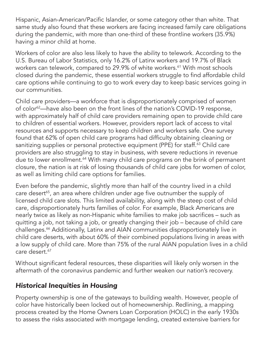<span id="page-10-0"></span>Hispanic, Asian-American/Pacific Islander, or some category other than white. That same study also found that these workers are facing increased family care obligations during the pandemic, with more than one-third of these frontline workers (35.9%) having a minor child at home.

Workers of color are also less likely to have the ability to telework. According to the U.S. Bureau of Labor Statistics, only 16.2% of Latinx workers and 19.7% of Black workers can telework, compared to 29.9% of white workers.<sup>61</sup> With most schools closed during the pandemic, these essential workers struggle to find affordable child care options while continuing to go to work every day to keep basic services going in our communities.

Child care providers—a workforce that is disproportionately comprised of women of color<sup>62</sup>—have also been on the front lines of the nation's COVID-19 response, with approximately half of child care providers remaining open to provide child care to children of essential workers. However, providers report lack of access to vital resources and supports necessary to keep children and workers safe. One survey found that 62% of open child care programs had difficulty obtaining cleaning or sanitizing supplies or personal protective equipment (PPE) for staff.<sup>63</sup> Child care providers are also struggling to stay in business, with severe reductions in revenue due to lower enrollment.<sup>[64](#page-17-0)</sup> With many child care programs on the brink of permanent closure, the nation is at risk of losing thousands of child care jobs for women of color, as well as limiting child care options for families.

Even before the pandemic, slightly more than half of the country lived in a child care desert<sup>65</sup>, an area where children under age five outnumber the supply of licensed child care slots. This limited availability, along with the steep cost of child care, disproportionately hurts families of color. For example, Black Americans are nearly twice as likely as non-Hispanic white families to make job sacrifices – such as quitting a job, not taking a job, or greatly changing their job – because of child care challenges[.66](#page-17-0) Additionally, Latinx and AIAN communities disproportionately live in child care deserts, with about 60% of their combined populations living in areas with a low supply of child care. More than 75% of the rural AIAN population lives in a child care desert.<sup>67</sup>

Without significant federal resources, these disparities will likely only worsen in the aftermath of the coronavirus pandemic and further weaken our nation's recovery.

# *Historical Inequities in Housing*

Property ownership is one of the gateways to building wealth. However, people of color have historically been locked out of homeownership. Redlining, a mapping process created by the Home Owners Loan Corporation (HOLC) in the early 1930s to assess the risks associated with mortgage lending, created extensive barriers for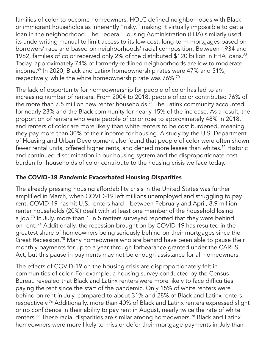<span id="page-11-0"></span>families of color to become homeowners. HOLC defined neighborhoods with Black or immigrant households as inherently "risky," making it virtually impossible to get a loan in the neighborhood. The Federal Housing Administration (FHA) similarly used its underwriting manual to limit access to its low-cost, long-term mortgages based on borrowers' race and based on neighborhoods' racial composition. Between 1934 and 1962, families of color received only 2% of the distributed \$120 billion in FHA loans.<sup>68</sup> Today, approximately 74% of formerly-redlined neighborhoods are low to moderate income.<sup>69</sup> In 2020, Black and Latinx homeownership rates were 47% and 51%, respectively, while the white homeownership rate was 76%.<sup>[70](#page-18-0)</sup>

The lack of opportunity for homeownership for people of color has led to an increasing number of renters. From 2004 to 2018, people of color contributed 76% of the more than 7.5 million new renter households.<sup>71</sup> The Latinx community accounted for nearly 23% and the Black community for nearly 15% of the increase. As a result, the proportion of renters who were people of color rose to approximately 48% in 2018, and renters of color are more likely than white renters to be cost burdened, meaning they pay more than 30% of their income for housing. A study by the U.S. Department of Housing and Urban Development also found that people of color were often shown fewer rental units, offered higher rents, and denied more leases than whites.<sup>72</sup> Historic and continued discrimination in our housing system and the disproportionate cost burden for households of color contribute to the housing crisis we face today.

## *The COVID-19 Pandemic Exacerbated Housing Disparities*

The already pressing housing affordability crisis in the United States was further amplified in March, when COVID-19 left millions unemployed and struggling to pay rent. COVID-19 has hit U.S. renters hard—between February and April, 8.9 million renter households (20%) dealt with at least one member of the household losing a job.<sup>73</sup> In July, more than 1 in 5 renters surveyed reported that they were behind on rent.<sup>74</sup> Additionally, the recession brought on by COVID-19 has resulted in the greatest share of homeowners being seriously behind on their mortgages since the Great Recession.[75](#page-18-0) Many homeowners who are behind have been able to pause their monthly payments for up to a year through forbearance granted under the CARES Act, but this pause in payments may not be enough assistance for all homeowners.

The effects of COVID-19 on the housing crisis are disproportionately felt in communities of color. For example, a housing survey conducted by the Census Bureau revealed that Black and Latinx renters were more likely to face difficulties paying the rent since the start of the pandemic. Only 15% of white renters were behind on rent in July, compared to about 31% and 28% of Black and Latinx renters, respectively.<sup>76</sup> Additionally, more than 40% of Black and Latinx renters expressed slight or no confidence in their ability to pay rent in August, nearly twice the rate of white renters.<sup>77</sup> These racial disparities are similar among homeowners.<sup>78</sup> Black and Latinx homeowners were more likely to miss or defer their mortgage payments in July than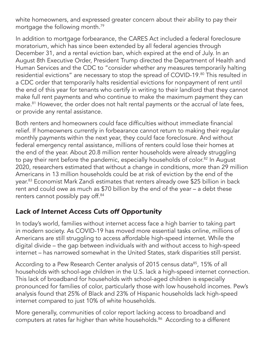<span id="page-12-0"></span>white homeowners, and expressed greater concern about their ability to pay their mortgage the following month[.79](#page-18-0)

In addition to mortgage forbearance, the CARES Act included a federal foreclosure moratorium, which has since been extended by all federal agencies through December 31, and a rental eviction ban, which expired at the end of July. In an August 8th Executive Order, President Trump directed the Department of Health and Human Services and the CDC to "consider whether any measures temporarily halting residential evictions" are necessary to stop the spread of COVID-19.<sup>80</sup> This resulted in a CDC order that temporarily halts residential evictions for nonpayment of rent until the end of this year for tenants who certify in writing to their landlord that they cannot make full rent payments and who continue to make the maximum payment they can make.<sup>81</sup> However, the order does not halt rental payments or the accrual of late fees, or provide any rental assistance.

Both renters and homeowners could face difficulties without immediate financial relief. If homeowners currently in forbearance cannot return to making their regular monthly payments within the next year, they could face foreclosure. And without federal emergency rental assistance, millions of renters could lose their homes at the end of the year. About 20.8 million renter households were already struggling to pay their rent before the pandemic, especially households of color.<sup>82</sup> In August 2020, researchers estimated that without a change in conditions, more than 29 million Americans in 13 million households could be at risk of eviction by the end of the year[.83](#page-18-0) Economist Mark Zandi estimates that renters already owe \$25 billion in back rent and could owe as much as \$70 billion by the end of the year – a debt these renters cannot possibly pay off.<sup>[84](#page-18-0)</sup>

## *Lack of Internet Access Cuts off Opportunity*

In today's world, families without internet access face a high barrier to taking part in modern society. As COVID-19 has moved more essential tasks online, millions of Americans are still struggling to access affordable high-speed internet. While the digital divide – the gap between individuals with and without access to high-speed internet – has narrowed somewhat in the United States, stark disparities still persist.

According to a Pew Research Center analysis of 2015 census data<sup>85</sup>, 15% of all households with school-age children in the U.S. lack a high-speed internet connection. This lack of broadband for households with school-aged children is especially pronounced for families of color, particularly those with low household incomes. Pew's analysis found that 25% of Black and 23% of Hispanic households lack high-speed internet compared to just 10% of white households.

More generally, communities of color report lacking access to broadband and computers at rates far higher than white households.<sup>86</sup> According to a different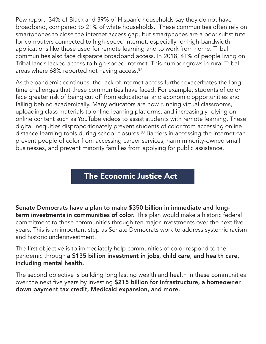<span id="page-13-0"></span>Pew report, 34% of Black and 39% of Hispanic households say they do not have broadband, compared to 21% of white households. These communities often rely on smartphones to close the internet access gap, but smartphones are a poor substitute for computers connected to high-speed internet, especially for high-bandwidth applications like those used for remote learning and to work from home. Tribal communities also face disparate broadband access. In 2018, 41% of people living on Tribal lands lacked access to high-speed internet. This number grows in rural Tribal areas where 68% reported not having access.<sup>87</sup>

As the pandemic continues, the lack of internet access further exacerbates the longtime challenges that these communities have faced. For example, students of color face greater risk of being cut off from educational and economic opportunities and falling behind academically. Many educators are now running virtual classrooms, uploading class materials to online learning platforms, and increasingly relying on online content such as YouTube videos to assist students with remote learning. These digital inequities disproportionately prevent students of color from accessing online distance learning tools during school closures.<sup>88</sup> Barriers in accessing the internet can prevent people of color from accessing career services, harm minority-owned small businesses, and prevent minority families from applying for public assistance.

# **The Economic Justice Act**

Senate Democrats have a plan to make \$350 billion in immediate and longterm investments in communities of color. This plan would make a historic federal commitment to these communities through ten major investments over the next five years. This is an important step as Senate Democrats work to address systemic racism and historic underinvestment.

The first objective is to immediately help communities of color respond to the pandemic through a \$135 billion investment in jobs, child care, and health care, including mental health.

The second objective is building long lasting wealth and health in these communities over the next five years by investing \$215 billion for infrastructure, a homeowner down payment tax credit, Medicaid expansion, and more.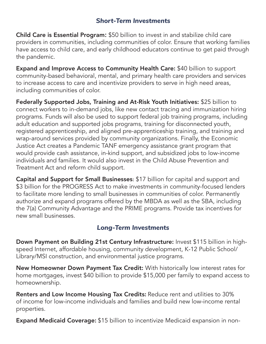## *Short-Term Investments*

Child Care is Essential Program**:** \$50 billion to invest in and stabilize child care providers in communities, including communities of color. Ensure that working families have access to child care, and early childhood educators continue to get paid through the pandemic.

Expand and Improve Access to Community Health Care: \$40 billion to support community-based behavioral, mental, and primary health care providers and services to increase access to care and incentivize providers to serve in high need areas, including communities of color.

Federally Supported Jobs, Training and At-Risk Youth Initiatives: \$25 billion to connect workers to in-demand jobs, like new contact tracing and immunization hiring programs. Funds will also be used to support federal job training programs, including adult education and supported jobs programs, training for disconnected youth, registered apprenticeship, and aligned pre-apprenticeship training, and training and wrap-around services provided by community organizations. Finally, the Economic Justice Act creates a Pandemic TANF emergency assistance grant program that would provide cash assistance, in-kind support, and subsidized jobs to low-income individuals and families. It would also invest in the Child Abuse Prevention and Treatment Act and reform child support.

Capital and Support for Small Businesses**:** \$17 billion for capital and support and \$3 billion for the PROGRESS Act to make investments in community-focused lenders to facilitate more lending to small businesses in communities of color. Permanently authorize and expand programs offered by the MBDA as well as the SBA, including the 7(a) Community Advantage and the PRIME programs. Provide tax incentives for new small businesses.

## *Long-Term Investments*

Down Payment on Building 21st Century Infrastructure: Invest \$115 billion in highspeed Internet, affordable housing, community development, K-12 Public School/ Library/MSI construction, and environmental justice programs.

New Homeowner Down Payment Tax Credit: With historically low interest rates for home mortgages, invest \$40 billion to provide \$15,000 per family to expand access to homeownership.

Renters and Low Income Housing Tax Credits: Reduce rent and utilities to 30% of income for low-income individuals and families and build new low-income rental properties.

Expand Medicaid Coverage: \$15 billion to incentivize Medicaid expansion in non-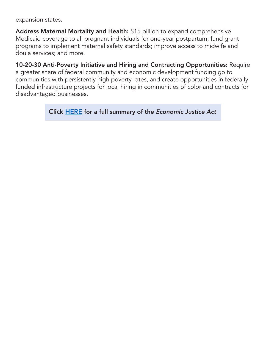expansion states.

Address Maternal Mortality and Health: \$15 billion to expand comprehensive Medicaid coverage to all pregnant individuals for one-year postpartum; fund grant programs to implement maternal safety standards; improve access to midwife and doula services; and more.

10-20-30 Anti-Poverty Initiative and Hiring and Contracting Opportunities: Require a greater share of federal community and economic development funding go to communities with persistently high poverty rates, and create opportunities in federally funded infrastructure projects for local hiring in communities of color and contracts for disadvantaged businesses.

Click [HERE](https://www.democrats.senate.gov/imo/media/doc/The%20Economic%20Justice%20Act%20-%20SUMMARY.pdf) for a full summary of the *Economic Justice Act*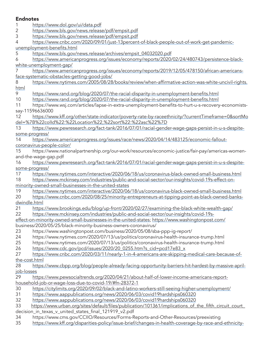#### <span id="page-16-0"></span>Endnotes

| 1                          | https://www.dol.gov/ui/data.pdf                                                                       |
|----------------------------|-------------------------------------------------------------------------------------------------------|
| 2                          | https://www.bls.gov/news.release/pdf/empsit.pdf                                                       |
| 3                          | https://www.bls.gov/news.release/pdf/empsit.pdf                                                       |
| 4                          | https://www.cnbc.com/2020/09/01/just-13percent-of-black-people-out-of-work-get-pandemic-              |
| unemployment-benefits.html |                                                                                                       |
| 5                          | https://www.bls.gov/news.release/archives/empsit_04032020.pdf                                         |
| 6                          | https://www.americanprogress.org/issues/economy/reports/2020/02/24/480743/persistence-black-          |
|                            | white-unemployment-gap/                                                                               |
|                            | https://www.americanprogress.org/issues/economy/reports/2019/12/05/478150/african-americans-          |
|                            | face-systematic-obstacles-getting-good-jobs/                                                          |
| 8                          | https://www.nytimes.com/2005/08/28/books/review/when-affirmative-action-was-white-uncivil-rights.     |
| <u>html</u>                |                                                                                                       |
| 9                          | https://www.rand.org/blog/2020/07/the-racial-disparity-in-unemployment-benefits.html                  |
| 10                         | https://www.rand.org/blog/2020/07/the-racial-disparity-in-unemployment-benefits.html                  |
| 11                         | https://www.wsj.com/articles/lapse-in-extra-unemployment-benefits-to-hurt-u-s-recovery-economists-    |
| say-11596636000            |                                                                                                       |
| 12                         | https://www.kff.org/other/state-indicator/poverty-rate-by-raceethnicity/?currentTimeframe=0&sortMo    |
|                            | del=%7B%22colld%22:%22Location%22,%22sort%22:%22asc%22%7D                                             |
| 13                         | https://www.pewresearch.org/fact-tank/2016/07/01/racial-gender-wage-gaps-persist-in-u-s-despite-      |
|                            | some-progress/                                                                                        |
| 14                         | https://www.americanprogress.org/issues/race/news/2020/04/14/483125/economic-fallout-                 |
|                            | coronavirus-people-color/                                                                             |
| 15                         | https://www.nationalpartnership.org/our-work/resources/economic-justice/fair-pay/americas-women-      |
|                            | and-the-wage-gap.pdf                                                                                  |
| 16                         | https://www.pewresearch.org/fact-tank/2016/07/01/racial-gender-wage-gaps-persist-in-u-s-despite-      |
|                            | some-progress/                                                                                        |
| 17                         | https://www.nytimes.com/interactive/2020/06/18/us/coronavirus-black-owned-small-business.html         |
| 18                         | https://www.mckinsey.com/industries/public-and-social-sector/our-insights/covid-19s-effect-on-        |
|                            | minority-owned-small-businesses-in-the-united-states                                                  |
| 19                         | https://www.nytimes.com/interactive/2020/06/18/us/coronavirus-black-owned-small-business.html         |
| 20                         | https://www.cnbc.com/2020/08/25/minority-entrepreneurs-at-tipping-point-as-black-owned-banks-         |
| dwindle.html               |                                                                                                       |
| 21                         | https://www.brookings.edu/blog/up-front/2020/02/27/examining-the-black-white-wealth-gap/              |
| 22                         | https://www.mckinsey.com/industries/public-and-social-sector/our-insights/covid-19s-                  |
|                            | effect-on-minority-owned-small-businesses-in-the-united-states; https://www.washingtonpost.com/       |
|                            | business/2020/05/25/black-minority-business-owners-coronavirus/                                       |
| 23                         | https://www.washingtonpost.com/business/2020/05/08/sba-ppp-ig-report/                                 |
| 24                         | https://www.nytimes.com/2020/07/13/us/politics/coronavirus-health-insurance-trump.html                |
| 25                         | https://www.nytimes.com/2020/07/13/us/politics/coronavirus-health-insurance-trump.html                |
| 26                         | https://www.cdc.gov/pcd/issues/2020/20_0255.htm?s_cid=pcd17e83_x                                      |
| 27                         | https://www.cnbc.com/2020/03/11/nearly-1-in-4-americans-are-skipping-medical-care-because-of-         |
| the-cost.html              |                                                                                                       |
| 28                         | https://www.cbpp.org/blog/people-already-facing-opportunity-barriers-hit-hardest-by-massive-april-    |
| job-losses                 |                                                                                                       |
| 29                         | https://www.pewsocialtrends.org/2020/04/21/about-half-of-lower-income-americans-report-               |
|                            | household-job-or-wage-loss-due-to-covid-19/#fn-28372-1                                                |
| 30                         | https://citylimits.org/2020/09/02/black-and-latino-workers-still-seeing-higher-unemployment/          |
| 31                         | https://www.aappublications.org/news/2020/06/03/covid19hardships060320                                |
| 32                         | https://www.aappublications.org/news/2020/06/03/covid19hardships060320                                |
| 33                         | https://www.urban.org/sites/default/files/publication/101361/implications_of_the_fifth_circuit_court_ |
|                            | decision_in_texas_v_united_states_final_121919_v2.pdf                                                 |
| 34                         | https://www.cms.gov/CCIIO/Resources/Forms-Reports-and-Other-Resources/preexisting                     |
| 35                         | https://www.kff.org/disparities-policy/issue-brief/changes-in-health-coverage-by-race-and-ethnicity-  |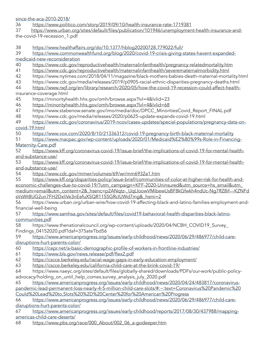<span id="page-17-0"></span>[since-the-aca-2010-2018/](https://www.kff.org/disparities-policy/issue-brief/changes-in-health-coverage-by-race-and-ethnicity-since-the-aca-2010-2018/)

[36](#page-7-0) <https://www.politico.com/story/2019/09/10/health-insurance-rate-1719381>

[37](#page-7-0) [https://www.urban.org/sites/default/files/publication/101946/unemployment-health-insurance-and](https://www.urban.org/sites/default/files/publication/101946/unemployment-health-insurance-and-the-covid-19-recession_1.pdf)[the-covid-19-recession\\_1.pdf](https://www.urban.org/sites/default/files/publication/101946/unemployment-health-insurance-and-the-covid-19-recession_1.pdf)

[38](#page-7-0) <https://www.healthaffairs.org/do/10.1377/hblog20200728.779022/full/><br>39 https://www.commonwealthfund.org/blog/2020/covid-19-crisis-giving-s

[https://www.commonwealthfund.org/blog/2020/covid-19-crisis-giving-states-havent-expanded](https://www.commonwealthfund.org/blog/2020/covid-19-crisis-giving-states-havent-expanded-medicaid-new-reconsideration)[medicaid-new-reconsideration](https://www.commonwealthfund.org/blog/2020/covid-19-crisis-giving-states-havent-expanded-medicaid-new-reconsideration)

- [40](#page-7-0) <https://www.cdc.gov/reproductivehealth/maternalinfanthealth/pregnancy-relatedmortality.htm>
- [41](#page-7-0) <https://www.cdc.gov/reproductivehealth/maternalinfanthealth/severematernalmorbidity.html>
- [42](#page-8-0) <https://www.nytimes.com/2018/04/11/magazine/black-mothers-babies-death-maternal-mortality.html>
- [43](#page-8-0) <https://www.cdc.gov/media/releases/2019/p0905-racial-ethnic-disparities-pregnancy-deaths.html>

[44](#page-8-0) [https://www.rwjf.org/en/library/research/2020/05/how-the-covid-19-recession-could-affect-health](https://www.rwjf.org/en/library/research/2020/05/how-the-covid-19-recession-could-affect-health-insurance-coverage.html)[insurance-coverage.html](https://www.rwjf.org/en/library/research/2020/05/how-the-covid-19-recession-could-affect-health-insurance-coverage.html)

- [45](#page-8-0) <https://minorityhealth.hhs.gov/omh/browse.aspx?lvl=4&lvlid=23>
- [46](#page-8-0) <https://minorityhealth.hhs.gov/omh/browse.aspx?lvl=4&lvlid=68>
- [47](#page-8-0) [https://www.stabenow.senate.gov/imo/media/doc/DPCC\\_MinoritiesCovid\\_Report\\_FINAL.pdf](https://www.stabenow.senate.gov/imo/media/doc/DPCC_MinoritiesCovid_Report_FINAL.pdf)
- [48](#page-8-0) <https://www.cdc.gov/media/releases/2020/p0625-update-expands-covid-19.html>
- [49](#page-8-0) [https://www.cdc.gov/coronavirus/2019-ncov/cases-updates/special-populations/pregnancy-data-on](https://www.cdc.gov/coronavirus/2019-ncov/cases-updates/special-populations/pregnancy-data-on-covid-19.html)[covid-19.html](https://www.cdc.gov/coronavirus/2019-ncov/cases-updates/special-populations/pregnancy-data-on-covid-19.html)
- [50](#page-8-0) <https://www.vox.com/2020/8/10/21336312/covid-19-pregnancy-birth-black-maternal-mortality>
- [51](#page-8-0) [https://www.macpac.gov/wp-content/uploads/2020/01/Medicaid%E2%80%99s-Role-in-Financing-](https://www.macpac.gov/wp-content/uploads/2020/01/Medicaid%25E2%2580%2599s-Role-in-Financing-Maternity-Care.pdf)[Maternity-Care.pdf](https://www.macpac.gov/wp-content/uploads/2020/01/Medicaid%25E2%2580%2599s-Role-in-Financing-Maternity-Care.pdf)
- [52](#page-8-0) [https://www.kff.org/coronavirus-covid-19/issue-brief/the-implications-of-covid-19-for-mental-health](https://www.kff.org/coronavirus-covid-19/issue-brief/the-implications-of-covid-19-for-mental-health-and-substance-use/)[and-substance-use/](https://www.kff.org/coronavirus-covid-19/issue-brief/the-implications-of-covid-19-for-mental-health-and-substance-use/)

[53](#page-9-0) [https://www.kff.org/coronavirus-covid-19/issue-brief/the-implications-of-covid-19-for-mental-health](https://www.kff.org/coronavirus-covid-19/issue-brief/the-implications-of-covid-19-for-mental-health-and-substance-use/)[and-substance-use/](https://www.kff.org/coronavirus-covid-19/issue-brief/the-implications-of-covid-19-for-mental-health-and-substance-use/)

[54](#page-9-0) <https://www.cdc.gov/mmwr/volumes/69/wr/mm6932a1.htm><br>55 https://www.kff.org/disparities-policy/issue-brief/communitie

[https://www.kff.org/disparities-policy/issue-brief/communities-of-color-at-higher-risk-for-health-and](https://www.kff.org/disparities-policy/issue-brief/communities-of-color-at-higher-risk-for-health-and-economic-challenges-due-to-covid-19/?utm_campaign=KFF-2020-Uninsured&utm_source=hs_email&utm_medium=email&utm_content=2&_hsenc=p2ANqtz-_UqLIoowVMibewUsBF8kGfwkh4ndUc-Ng7RZ8if---KZNFdsVsWt8UG2un7FH2DxliVe3nEefuXSQR1155GRcIUWd7mg&_hsmi=2)[economic-challenges-due-to-covid-19/?utm\\_campaign=KFF-2020-Uninsured&utm\\_source=hs\\_email&utm\\_](https://www.kff.org/disparities-policy/issue-brief/communities-of-color-at-higher-risk-for-health-and-economic-challenges-due-to-covid-19/?utm_campaign=KFF-2020-Uninsured&utm_source=hs_email&utm_medium=email&utm_content=2&_hsenc=p2ANqtz-_UqLIoowVMibewUsBF8kGfwkh4ndUc-Ng7RZ8if---KZNFdsVsWt8UG2un7FH2DxliVe3nEefuXSQR1155GRcIUWd7mg&_hsmi=2) [medium=email&utm\\_content=2&\\_hsenc=p2ANqtz-\\_UqLIoowVMibewUsBF8kGfwkh4ndUc-Ng7RZ8if---KZNFd](https://www.kff.org/disparities-policy/issue-brief/communities-of-color-at-higher-risk-for-health-and-economic-challenges-due-to-covid-19/?utm_campaign=KFF-2020-Uninsured&utm_source=hs_email&utm_medium=email&utm_content=2&_hsenc=p2ANqtz-_UqLIoowVMibewUsBF8kGfwkh4ndUc-Ng7RZ8if---KZNFdsVsWt8UG2un7FH2DxliVe3nEefuXSQR1155GRcIUWd7mg&_hsmi=2) [sVsWt8UG2un7FH2DxliVe3nEefuXSQR1155GRcIUWd7mg&\\_hsmi=2](https://www.kff.org/disparities-policy/issue-brief/communities-of-color-at-higher-risk-for-health-and-economic-challenges-due-to-covid-19/?utm_campaign=KFF-2020-Uninsured&utm_source=hs_email&utm_medium=email&utm_content=2&_hsenc=p2ANqtz-_UqLIoowVMibewUsBF8kGfwkh4ndUc-Ng7RZ8if---KZNFdsVsWt8UG2un7FH2DxliVe3nEefuXSQR1155GRcIUWd7mg&_hsmi=2)

[56](#page-9-0) [https://www.urban.org/urban-wire/how-covid-19-affecting-black-and-latino-families-employment-and](https://www.urban.org/urban-wire/how-covid-19-affecting-black-and-latino-families-employment-and-financial-well-being)[financial-well-being](https://www.urban.org/urban-wire/how-covid-19-affecting-black-and-latino-families-employment-and-financial-well-being)

[57](#page-9-0) [https://www.samhsa.gov/sites/default/files/covid19-behavioral-health-disparities-black-latino](https://www.samhsa.gov/sites/default/files/covid19-behavioral-health-disparities-black-latino-communities.pdf)[communities.pdf](https://www.samhsa.gov/sites/default/files/covid19-behavioral-health-disparities-black-latino-communities.pdf)

[58](#page-9-0) [https://www.thenationalcouncil.org/wp-content/uploads/2020/04/NCBH\\_COVID19\\_Survey\\_](https://www.thenationalcouncil.org/wp-content/uploads/2020/04/NCBH_COVID19_Survey_Findings_04152020.pdf?daf=375ateTbd56) [Findings\\_04152020.pdf?daf=375ateTbd56](https://www.thenationalcouncil.org/wp-content/uploads/2020/04/NCBH_COVID19_Survey_Findings_04152020.pdf?daf=375ateTbd56)

[59](#page-9-0) [https://www.americanprogress.org/issues/early-childhood/news/2020/06/29/486977/child-care](https://www.americanprogress.org/issues/early-childhood/news/2020/06/29/486977/child-care-disruptions-hurt-parents-color/)[disruptions-hurt-parents-color/](https://www.americanprogress.org/issues/early-childhood/news/2020/06/29/486977/child-care-disruptions-hurt-parents-color/)

[60](#page-9-0) <https://cepr.net/a-basic-demographic-profile-of-workers-in-frontline-industries/>

[61](#page-10-0) <https://www.bls.gov/news.release/pdf/flex2.pdf>

[62](#page-10-0) <https://cscce.berkeley.edu/racial-wage-gaps-in-early-education-employment/>

[63](#page-10-0) <https://cscce.berkeley.edu/california-child-care-at-the-brink-covid-19/>

[64](#page-10-0) [https://www.naeyc.org/sites/default/files/globally-shared/downloads/PDFs/our-work/public-policy](https://www.naeyc.org/sites/default/files/globally-shared/downloads/PDFs/our-work/public-policy-advocacy/holding_on_until_help_comes.survey_analysis_july_2020.pdf)[advocacy/holding\\_on\\_until\\_help\\_comes.survey\\_analysis\\_july\\_2020.pdf](https://www.naeyc.org/sites/default/files/globally-shared/downloads/PDFs/our-work/public-policy-advocacy/holding_on_until_help_comes.survey_analysis_july_2020.pdf)

[65](#page-10-0) [https://www.americanprogress.org/issues/early-childhood/news/2020/04/24/483817/coronavirus](https://www.americanprogress.org/issues/early-childhood/news/2020/04/24/483817/coronavirus-pandemic-lead-permanent-loss-nearly-4-5-million-child-care-slots/#:~:text=Coronavirus%2520Pandemic%2520Could%2520Lead%2520to,Slots%2520%252D%2520Center%2520for%2520American%2520Progress)[pandemic-lead-permanent-loss-nearly-4-5-million-child-care-slots/#:~:text=Coronavirus%20Pandemic%20](https://www.americanprogress.org/issues/early-childhood/news/2020/04/24/483817/coronavirus-pandemic-lead-permanent-loss-nearly-4-5-million-child-care-slots/#:~:text=Coronavirus%2520Pandemic%2520Could%2520Lead%2520to,Slots%2520%252D%2520Center%2520for%2520American%2520Progress) [Could%20Lead%20to,Slots%20%2D%20Center%20for%20American%20Progress](https://www.americanprogress.org/issues/early-childhood/news/2020/04/24/483817/coronavirus-pandemic-lead-permanent-loss-nearly-4-5-million-child-care-slots/#:~:text=Coronavirus%2520Pandemic%2520Could%2520Lead%2520to,Slots%2520%252D%2520Center%2520for%2520American%2520Progress)

[66](#page-10-0) [https://www.americanprogress.org/issues/early-childhood/news/2020/06/29/486977/child-care](https://www.americanprogress.org/issues/early-childhood/news/2020/06/29/486977/child-care-disruptions-hurt-parents-color/)[disruptions-hurt-parents-color/](https://www.americanprogress.org/issues/early-childhood/news/2020/06/29/486977/child-care-disruptions-hurt-parents-color/)

[67](#page-10-0) [https://www.americanprogress.org/issues/early-childhood/reports/2017/08/30/437988/mapping](https://www.americanprogress.org/issues/early-childhood/reports/2017/08/30/437988/mapping-americas-child-care-deserts/)[americas-child-care-deserts/](https://www.americanprogress.org/issues/early-childhood/reports/2017/08/30/437988/mapping-americas-child-care-deserts/)

[68](#page-11-0) [https://www.pbs.org/race/000\\_About/002\\_06\\_a-godeeper.htm](https://www.pbs.org/race/000_About/002_06_a-godeeper.htm)